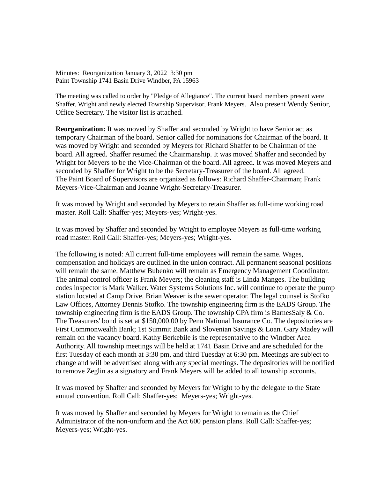Minutes: Reorganization January 3, 2022 3:30 pm Paint Township 1741 Basin Drive Windber, PA 15963

The meeting was called to order by "Pledge of Allegiance". The current board members present were Shaffer, Wright and newly elected Township Supervisor, Frank Meyers. Also present Wendy Senior, Office Secretary. The visitor list is attached.

**Reorganization:** It was moved by Shaffer and seconded by Wright to have Senior act as temporary Chairman of the board. Senior called for nominations for Chairman of the board. It was moved by Wright and seconded by Meyers for Richard Shaffer to be Chairman of the board. All agreed. Shaffer resumed the Chairmanship. It was moved Shaffer and seconded by Wright for Meyers to be the Vice-Chairman of the board. All agreed. It was moved Meyers and seconded by Shaffer for Wright to be the Secretary-Treasurer of the board. All agreed. The Paint Board of Supervisors are organized as follows: Richard Shaffer-Chairman; Frank Meyers-Vice-Chairman and Joanne Wright-Secretary-Treasurer.

It was moved by Wright and seconded by Meyers to retain Shaffer as full-time working road master. Roll Call: Shaffer-yes; Meyers-yes; Wright-yes.

It was moved by Shaffer and seconded by Wright to employee Meyers as full-time working road master. Roll Call: Shaffer-yes; Meyers-yes; Wright-yes.

The following is noted: All current full-time employees will remain the same. Wages, compensation and holidays are outlined in the union contract. All permanent seasonal positions will remain the same. Matthew Bubenko will remain as Emergency Management Coordinator. The animal control officer is Frank Meyers; the cleaning staff is Linda Manges. The building codes inspector is Mark Walker. Water Systems Solutions Inc. will continue to operate the pump station located at Camp Drive. Brian Weaver is the sewer operator. The legal counsel is Stofko Law Offices, Attorney Dennis Stofko. The township engineering firm is the EADS Group. The township engineering firm is the EADS Group. The township CPA firm is BarnesSaly & Co. The Treasurers' bond is set at \$150,000.00 by Penn National Insurance Co. The depositories are First Commonwealth Bank; 1st Summit Bank and Slovenian Savings & Loan. Gary Madey will remain on the vacancy board. Kathy Berkebile is the representative to the Windber Area Authority. All township meetings will be held at 1741 Basin Drive and are scheduled for the first Tuesday of each month at 3:30 pm, and third Tuesday at 6:30 pm. Meetings are subject to change and will be advertised along with any special meetings. The depositories will be notified to remove Zeglin as a signatory and Frank Meyers will be added to all township accounts.

It was moved by Shaffer and seconded by Meyers for Wright to by the delegate to the State annual convention. Roll Call: Shaffer-yes; Meyers-yes; Wright-yes.

It was moved by Shaffer and seconded by Meyers for Wright to remain as the Chief Administrator of the non-uniform and the Act 600 pension plans. Roll Call: Shaffer-yes; Meyers-yes; Wright-yes.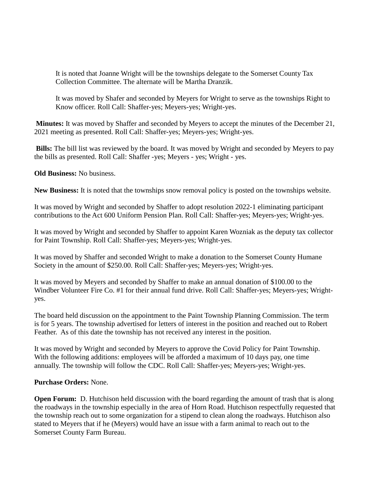It is noted that Joanne Wright will be the townships delegate to the Somerset County Tax Collection Committee. The alternate will be Martha Dranzik.

It was moved by Shafer and seconded by Meyers for Wright to serve as the townships Right to Know officer. Roll Call: Shaffer-yes; Meyers-yes; Wright-yes.

**Minutes:** It was moved by Shaffer and seconded by Meyers to accept the minutes of the December 21, 2021 meeting as presented. Roll Call: Shaffer-yes; Meyers-yes; Wright-yes.

**Bills:** The bill list was reviewed by the board. It was moved by Wright and seconded by Meyers to pay the bills as presented. Roll Call: Shaffer -yes; Meyers - yes; Wright - yes.

**Old Business:** No business.

**New Business:** It is noted that the townships snow removal policy is posted on the townships website.

It was moved by Wright and seconded by Shaffer to adopt resolution 2022-1 eliminating participant contributions to the Act 600 Uniform Pension Plan. Roll Call: Shaffer-yes; Meyers-yes; Wright-yes.

It was moved by Wright and seconded by Shaffer to appoint Karen Wozniak as the deputy tax collector for Paint Township. Roll Call: Shaffer-yes; Meyers-yes; Wright-yes.

It was moved by Shaffer and seconded Wright to make a donation to the Somerset County Humane Society in the amount of \$250.00. Roll Call: Shaffer-yes; Meyers-yes; Wright-yes.

It was moved by Meyers and seconded by Shaffer to make an annual donation of \$100.00 to the Windber Volunteer Fire Co. #1 for their annual fund drive. Roll Call: Shaffer-yes; Meyers-yes; Wrightyes.

The board held discussion on the appointment to the Paint Township Planning Commission. The term is for 5 years. The township advertised for letters of interest in the position and reached out to Robert Feather. As of this date the township has not received any interest in the position.

It was moved by Wright and seconded by Meyers to approve the Covid Policy for Paint Township. With the following additions: employees will be afforded a maximum of 10 days pay, one time annually. The township will follow the CDC. Roll Call: Shaffer-yes; Meyers-yes; Wright-yes.

## **Purchase Orders:** None.

**Open Forum:** D. Hutchison held discussion with the board regarding the amount of trash that is along the roadways in the township especially in the area of Horn Road. Hutchison respectfully requested that the township reach out to some organization for a stipend to clean along the roadways. Hutchison also stated to Meyers that if he (Meyers) would have an issue with a farm animal to reach out to the Somerset County Farm Bureau.